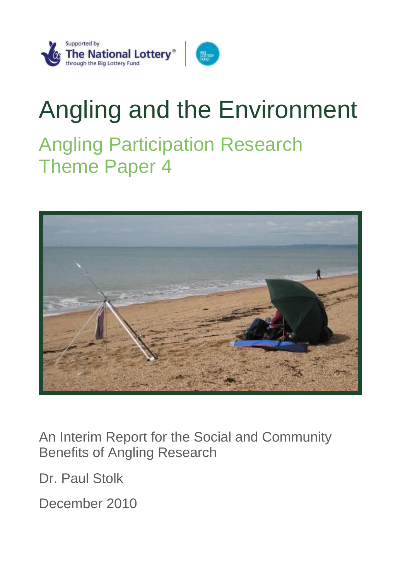

# Angling and the Environment Angling Participation Research Theme Paper 4



An Interim Report for the Social and Community Benefits of Angling Research

Dr. Paul Stolk

December 2010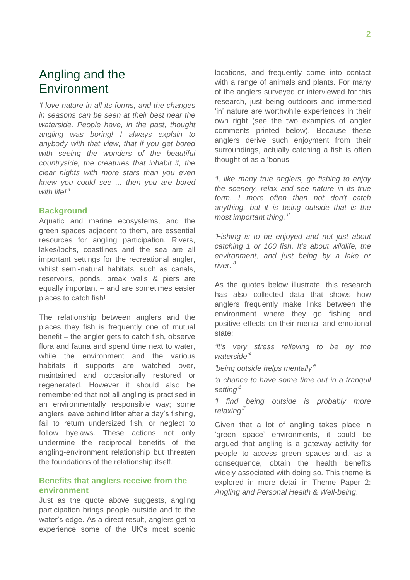# Angling and the Environment

*"I love nature in all its forms, and the changes in seasons can be seen at their best near the waterside. People have, in the past, thought angling was boring! I always explain to anybody with that view, that if you get bored with seeing the wonders of the beautiful countryside, the creatures that inhabit it, the clear nights with more stars than you even knew you could see ... then you are bored with life!" 1*

#### **Background**

Aquatic and marine ecosystems, and the green spaces adjacent to them, are essential resources for angling participation. Rivers, lakes/lochs, coastlines and the sea are all important settings for the recreational angler, whilst semi-natural habitats, such as canals, reservoirs, ponds, break walls & piers are equally important – and are sometimes easier places to catch fish!

The relationship between anglers and the places they fish is frequently one of mutual benefit – the angler gets to catch fish, observe flora and fauna and spend time next to water, while the environment and the various habitats it supports are watched over, maintained and occasionally restored or regenerated. However it should also be remembered that not all angling is practised in an environmentally responsible way; some anglers leave behind litter after a day's fishing, fail to return undersized fish, or neglect to follow byelaws. These actions not only undermine the reciprocal benefits of the angling-environment relationship but threaten the foundations of the relationship itself.

## **Benefits that anglers receive from the environment**

Just as the quote above suggests, angling participation brings people outside and to the water's edge. As a direct result, anglers get to experience some of the UK's most scenic locations, and frequently come into contact with a range of animals and plants. For many of the anglers surveyed or interviewed for this research, just being outdoors and immersed 'in' nature are worthwhile experiences in their own right (see the two examples of angler comments printed below). Because these anglers derive such enjoyment from their surroundings, actually catching a fish is often thought of as a 'bonus':

*"I, like many true anglers, go fishing to enjoy the scenery, relax and see nature in its true form. I more often than not don't catch anything, but it is being outside that is the most important thing." 2*

*"Fishing is to be enjoyed and not just about catching 1 or 100 fish. It's about wildlife, the environment, and just being by a lake or river." 3*

As the quotes below illustrate, this research has also collected data that shows how anglers frequently make links between the environment where they go fishing and positive effects on their mental and emotional state:

*"it"s very stress relieving to be by the waterside" 4*

*"being outside helps mentally" 5*

*"a chance to have some time out in a tranquil setting" 6*

*"I find being outside is probably more relaxing" 7*

Given that a lot of angling takes place in 'green space' environments, it could be argued that angling is a gateway activity for people to access green spaces and, as a consequence, obtain the health benefits widely associated with doing so. This theme is explored in more detail in Theme Paper 2: *Angling and Personal Health & Well-being*.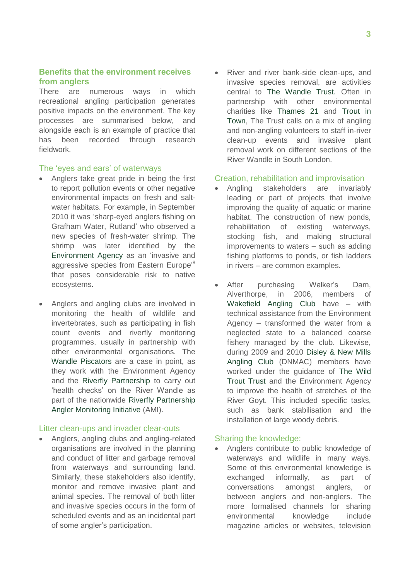# **Benefits that the environment receives from anglers**

There are numerous ways in which recreational angling participation generates positive impacts on the environment. The key processes are summarised below, and alongside each is an example of practice that has been recorded through research fieldwork.

#### The 'eyes and ears' of waterways

- Anglers take great pride in being the first to report pollution events or other negative environmental impacts on fresh and saltwater habitats. For example, in September 2010 it was 'sharp-eyed anglers fishing on Grafham Water, Rutland' who observed a new species of fresh-water shrimp. The shrimp was later identified by the [Environment Agency](http://www.environment-agency.gov.uk/) as an 'invasive and aggressive species from Eastern Europe'<sup>8</sup> that poses considerable risk to native ecosystems.
- Anglers and angling clubs are involved in monitoring the health of wildlife and invertebrates, such as participating in fish count events and riverfly monitoring programmes, usually in partnership with other environmental organisations. The [Wandle Piscators](http://www.wandlepiscators.net/) are a case in point, as they work with the Environment Agency and the [Riverfly Partnership](http://www.riverflies.org/) to carry out 'health checks' on the River Wandle as part of the nationwide Riverfly Partnership [Angler Monitoring Initiative](http://www.riverflies.org/index/riverfly_monit.html) (AMI).

#### Litter clean-ups and invader clear-outs

 Anglers, angling clubs and angling-related organisations are involved in the planning and conduct of litter and garbage removal from waterways and surrounding land. Similarly, these stakeholders also identify, monitor and remove invasive plant and animal species. The removal of both litter and invasive species occurs in the form of scheduled events and as an incidental part of some angler's participation.

 River and river bank-side clean-ups, and invasive species removal, are activities central to [The Wandle Trust.](http://www.wandletrust.org/) Often in partnership with other environmental charities like [Thames 21](http://www.thames21.org.uk/) and [Trout in](http://urbantrout.blogspot.com/)  [Town,](http://urbantrout.blogspot.com/) The Trust calls on a mix of angling and non-angling volunteers to staff in-river clean-up events and invasive plant removal work on different sections of the River Wandle in South London.

#### Creation, rehabilitation and improvisation

- Angling stakeholders are invariably leading or part of projects that involve improving the quality of aquatic or marine habitat. The construction of new ponds, rehabilitation of existing waterways, stocking fish, and making structural improvements to waters – such as adding fishing platforms to ponds, or fish ladders in rivers – are common examples.
- After purchasing Walker's Dam, Alverthorpe, in 2006, members of [Wakefield Angling Club](http://www.wakefieldac.co.uk/) have – with technical assistance from the Environment Agency – transformed the water from a neglected state to a balanced coarse fishery managed by the club. Likewise, during 2009 and 2010 [Disley & New Mills](http://www.wakefieldac.co.uk/)  [Angling Club](http://www.wakefieldac.co.uk/) (DNMAC) members have worked under the guidance of [The Wild](http://www.wildtrout.org/)  [Trout Trust](http://www.wildtrout.org/) and the Environment Agency to improve the health of stretches of the River Goyt. This included specific tasks, such as bank stabilisation and the installation of large woody debris.

#### Sharing the knowledge:

 Anglers contribute to public knowledge of waterways and wildlife in many ways. Some of this environmental knowledge is exchanged informally, as part of conversations amongst anglers, or between anglers and non-anglers. The more formalised channels for sharing environmental knowledge include magazine articles or websites, television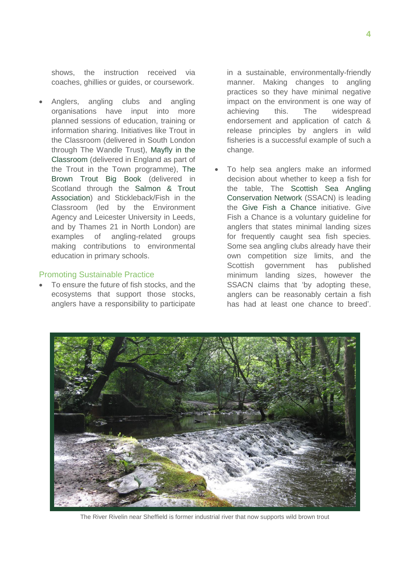shows, the instruction received via coaches, ghillies or guides, or coursework.

 Anglers, angling clubs and angling organisations have input into more planned sessions of education, training or information sharing. Initiatives like Trout in the Classroom (delivered in South London through The Wandle Trust), [Mayfly in the](http://www.wildtrout.org/index.php?option=com_content&task=view&id=340&Itemid=318)  [Classroom](http://www.wildtrout.org/index.php?option=com_content&task=view&id=340&Itemid=318) (delivered in England as part of the Trout in the Town programme), [The](http://www.salmon-trout.org/education.asp)  [Brown Trout Big Book](http://www.salmon-trout.org/education.asp) (delivered in Scotland through the [Salmon & Trout](http://www.salmon-trout.org/education.asp)  [Association\)](http://www.salmon-trout.org/education.asp) and Stickleback/Fish in the Classroom (led by the Environment Agency and Leicester University in Leeds, and by Thames 21 in North London) are examples of angling-related groups making contributions to environmental education in primary schools.

#### Promoting Sustainable Practice

 To ensure the future of fish stocks, and the ecosystems that support those stocks, anglers have a responsibility to participate

in a sustainable, environmentally-friendly manner. Making changes to angling practices so they have minimal negative impact on the environment is one way of achieving this. The widespread endorsement and application of catch & release principles by anglers in wild fisheries is a successful example of such a change.

 To help sea anglers make an informed decision about whether to keep a fish for the table, The [Scottish Sea Angling](http://www.ssacn.org/)  [Conservation Network](http://www.ssacn.org/) (SSACN) is leading the [Give Fish a Chance](http://www.ssacn.org/give-fish-a-chance-gfac-2/all-we-are-saying-is-give-fish-a-chance-2-2) initiative. Give Fish a Chance is a voluntary guideline for anglers that states minimal landing sizes for frequently caught sea fish species. Some sea angling clubs already have their own competition size limits, and the Scottish government has published minimum landing sizes, however the SSACN claims that 'by adopting these, anglers can be reasonably certain a fish has had at least one chance to breed'.



The River Rivelin near Sheffield is former industrial river that now supports wild brown trout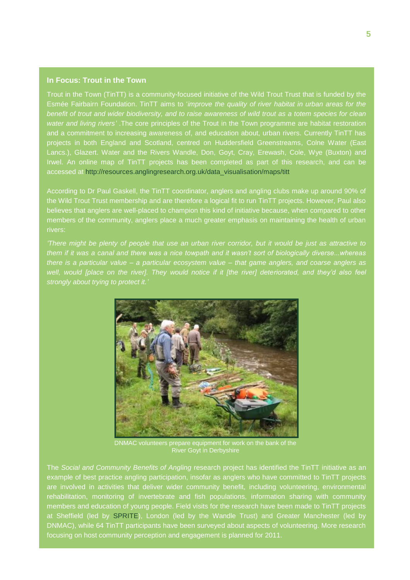#### **In Focus: Trout in the Town**

Trout in the Town (TinTT) is a community-focused initiative of the Wild Trout Trust that is funded by the Esmée Fairbairn Foundation. TinTT aims to '*improve the quality of river habitat in urban areas for the benefit of trout and wider biodiversity, and to raise awareness of wild trout as a totem species for clean water and living rivers"* .The core principles of the Trout in the Town programme are habitat restoration and a commitment to increasing awareness of, and education about, urban rivers. Currently TinTT has projects in both England and Scotland, centred on Huddersfield Greenstreams, Colne Water (East Lancs.), Glazert. Water and the Rivers Wandle, Don, Goyt, Cray, Erewash, Cole, Wye (Buxton) and Irwel. An online map of TinTT projects has been completed as part of this research, and can be accessed at [http://resources.anglingresearch.org.uk/data\\_visualisation/maps/titt](http://resources.anglingresearch.org.uk/data_visualisation/maps/titt)

According to Dr Paul Gaskell, the TinTT coordinator, anglers and angling clubs make up around 90% of the Wild Trout Trust membership and are therefore a logical fit to run TinTT projects. However, Paul also believes that anglers are well-placed to champion this kind of initiative because, when compared to other members of the community, anglers place a much greater emphasis on maintaining the health of urban rivers:

*"There might be plenty of people that use an urban river corridor, but it would be just as attractive to them if it was a canal and there was a nice towpath and it wasn"t sort of biologically diverse...whereas there is a particular value – a particular ecosystem value – that game anglers, and coarse anglers as well, would [place on the river]. They would notice if it [the river] deteriorated, and they"d also feel strongly about trying to protect it."*



DNMAC volunteers prepare equipment for work on the bank of the River Goyt in Derbyshire

The *Social and Community Benefits of Angling* research project has identified the TinTT initiative as an example of best practice angling participation, insofar as anglers who have committed to TinTT projects are involved in activities that deliver wider community benefit, including volunteering, environmental rehabilitation, monitoring of invertebrate and fish populations, information sharing with community members and education of young people. Field visits for the research have been made to TinTT projects at Sheffield (led by [SPRITE\)](http://www.spanglefish.com/sprite-southyorks/), London (led by the Wandle Trust) and Greater Manchester (led by DNMAC), while 64 TinTT participants have been surveyed about aspects of volunteering. More research focusing on host community perception and engagement is planned for 2011.